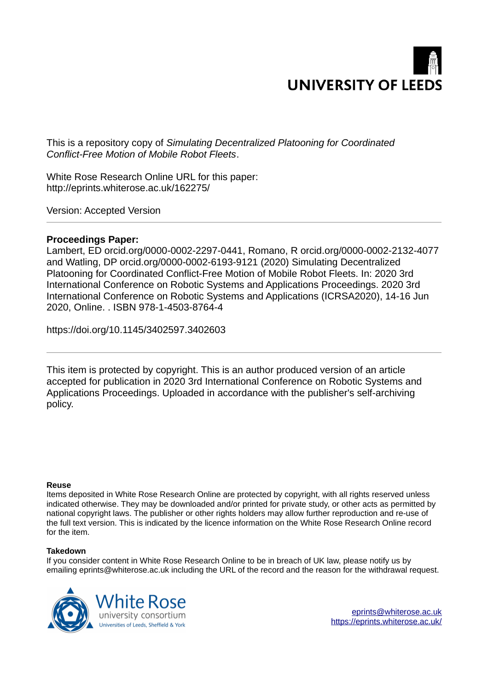

This is a repository copy of *Simulating Decentralized Platooning for Coordinated Conflict-Free Motion of Mobile Robot Fleets*.

White Rose Research Online URL for this paper: http://eprints.whiterose.ac.uk/162275/

Version: Accepted Version

# **Proceedings Paper:**

Lambert, ED orcid.org/0000-0002-2297-0441, Romano, R orcid.org/0000-0002-2132-4077 and Watling, DP orcid.org/0000-0002-6193-9121 (2020) Simulating Decentralized Platooning for Coordinated Conflict-Free Motion of Mobile Robot Fleets. In: 2020 3rd International Conference on Robotic Systems and Applications Proceedings. 2020 3rd International Conference on Robotic Systems and Applications (ICRSA2020), 14-16 Jun 2020, Online. . ISBN 978-1-4503-8764-4

https://doi.org/10.1145/3402597.3402603

This item is protected by copyright. This is an author produced version of an article accepted for publication in 2020 3rd International Conference on Robotic Systems and Applications Proceedings. Uploaded in accordance with the publisher's self-archiving policy.

## **Reuse**

Items deposited in White Rose Research Online are protected by copyright, with all rights reserved unless indicated otherwise. They may be downloaded and/or printed for private study, or other acts as permitted by national copyright laws. The publisher or other rights holders may allow further reproduction and re-use of the full text version. This is indicated by the licence information on the White Rose Research Online record for the item.

# **Takedown**

If you consider content in White Rose Research Online to be in breach of UK law, please notify us by emailing eprints@whiterose.ac.uk including the URL of the record and the reason for the withdrawal request.



[eprints@whiterose.ac.uk](mailto:eprints@whiterose.ac.uk) <https://eprints.whiterose.ac.uk/>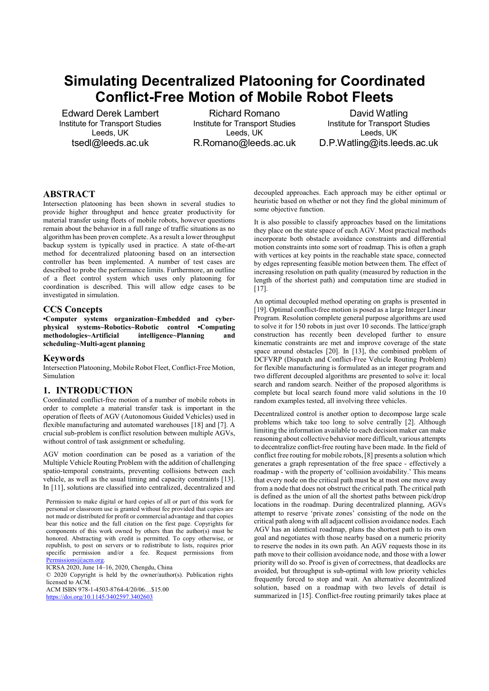# Simulating Decentralized Platooning for Coordinated Conflict-Free Motion of Mobile Robot Fleets

Edward Derek Lambert Institute for Transport Studies Leeds, UK tsedl@leeds.ac.uk

Richard Romano Institute for Transport Studies Leeds, UK R.Romano@leeds.ac.uk

David Watling Institute for Transport Studies Leeds, UK D.P.Watling@its.leeds.ac.uk

# **ABSTRACT**

Intersection platooning has been shown in several studies to provide higher throughput and hence greater productivity for material transfer using fleets of mobile robots, however questions remain about the behavior in a full range of traffic situations as no algorithm has been proven complete. As a result a lower throughput backup system is typically used in practice. A state of-the-art method for decentralized platooning based on an intersection controller has been implemented. A number of test cases are described to probe the performance limits. Furthermore, an outline of a fleet control system which uses only platooning for coordination is described. This will allow edge cases to be investigated in simulation.

#### CCS Concepts

•Computer systems organization~Embedded and cyberphysical systems~Robotics~Robotic control •Computing methodologies~Artificial intelligence~Planning and scheduling~Multi-agent planning

#### Keywords

Intersection Platooning, Mobile Robot Fleet, Conflict-Free Motion, Simulation

## 1. INTRODUCTION

Coordinated conflict-free motion of a number of mobile robots in order to complete a material transfer task is important in the operation of fleets of AGV (Autonomous Guided Vehicles) used in flexible manufacturing and automated warehouses [18] and [7]. A crucial sub-problem is conflict resolution between multiple AGVs, without control of task assignment or scheduling.

AGV motion coordination can be posed as a variation of the Multiple Vehicle Routing Problem with the addition of challenging spatio-temporal constraints, preventing collisions between each vehicle, as well as the usual timing and capacity constraints [13]. In [11], solutions are classified into centralized, decentralized and

Permission to make digital or hard copies of all or part of this work for personal or classroom use is granted without fee provided that copies are not made or distributed for profit or commercial advantage and that copies bear this notice and the full citation on the first page. Copyrights for components of this work owned by others than the author(s) must be honored. Abstracting with credit is permitted. To copy otherwise, or republish, to post on servers or to redistribute to lists, requires prior specific permission and/or a fee. Request permissions from Permissions@acm.org.

ICRSA 2020, June 14–16, 2020, Chengdu, China

© 2020 Copyright is held by the owner/author(s). Publication rights licensed to ACM.

ACM ISBN 978-1-4503-8764-4/20/06…\$15.00

https://doi.org/10.1145/3402597.3402603

decoupled approaches. Each approach may be either optimal or heuristic based on whether or not they find the global minimum of some objective function.

It is also possible to classify approaches based on the limitations they place on the state space of each AGV. Most practical methods incorporate both obstacle avoidance constraints and differential motion constraints into some sort of roadmap. This is often a graph with vertices at key points in the reachable state space, connected by edges representing feasible motion between them. The effect of increasing resolution on path quality (measured by reduction in the length of the shortest path) and computation time are studied in [17].

An optimal decoupled method operating on graphs is presented in [19]. Optimal conflict-free motion is posed as a large Integer Linear Program. Resolution complete general purpose algorithms are used to solve it for 150 robots in just over 10 seconds. The lattice/graph construction has recently been developed further to ensure kinematic constraints are met and improve coverage of the state space around obstacles [20]. In [13], the combined problem of DCFVRP (Dispatch and Conflict-Free Vehicle Routing Problem) for flexible manufacturing is formulated as an integer program and two different decoupled algorithms are presented to solve it: local search and random search. Neither of the proposed algorithms is complete but local search found more valid solutions in the 10 random examples tested, all involving three vehicles.

Decentralized control is another option to decompose large scale problems which take too long to solve centrally [2]. Although limiting the information available to each decision maker can make reasoning about collective behavior more difficult, various attempts to decentralize conflict-free routing have been made. In the field of conflict free routing for mobile robots, [8] presents a solution which generates a graph representation of the free space - effectively a roadmap - with the property of 'collision avoidability.' This means that every node on the critical path must be at most one move away from a node that does not obstruct the critical path. The critical path is defined as the union of all the shortest paths between pick/drop locations in the roadmap. During decentralized planning, AGVs attempt to reserve 'private zones' consisting of the node on the critical path along with all adjacent collision avoidance nodes. Each AGV has an identical roadmap, plans the shortest path to its own goal and negotiates with those nearby based on a numeric priority to reserve the nodes in its own path. An AGV requests those in its path move to their collision avoidance node, and those with a lower priority will do so. Proof is given of correctness, that deadlocks are avoided, but throughput is sub-optimal with low priority vehicles frequently forced to stop and wait. An alternative decentralized solution, based on a roadmap with two levels of detail is summarized in [15]. Conflict-free routing primarily takes place at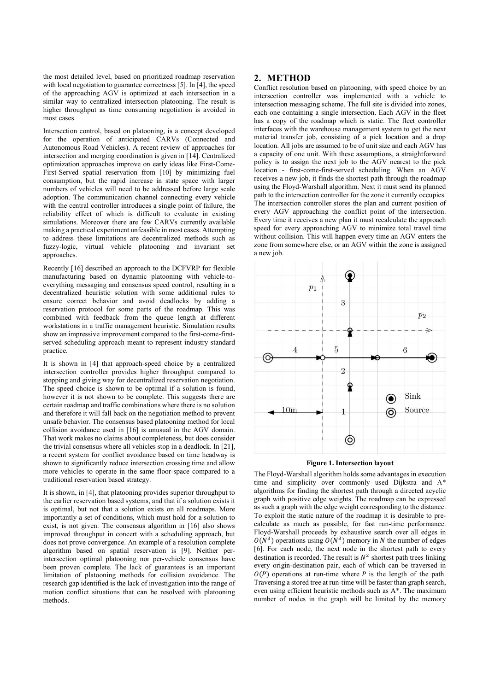the most detailed level, based on prioritized roadmap reservation with local negotiation to guarantee correctness [5]. In [4], the speed of the approaching AGV is optimized at each intersection in a similar way to centralized intersection platooning. The result is higher throughput as time consuming negotiation is avoided in most cases.

Intersection control, based on platooning, is a concept developed for the operation of anticipated CARVs (Connected and Autonomous Road Vehicles). A recent review of approaches for intersection and merging coordination is given in [14]. Centralized optimization approaches improve on early ideas like First-Come-First-Served spatial reservation from [10] by minimizing fuel consumption, but the rapid increase in state space with larger numbers of vehicles will need to be addressed before large scale adoption. The communication channel connecting every vehicle with the central controller introduces a single point of failure, the reliability effect of which is difficult to evaluate in existing simulations. Moreover there are few CARVs currently available making a practical experiment unfeasible in most cases. Attempting to address these limitations are decentralized methods such as fuzzy-logic, virtual vehicle platooning and invariant set approaches.

Recently [16] described an approach to the DCFVRP for flexible manufacturing based on dynamic platooning with vehicle-toeverything messaging and consensus speed control, resulting in a decentralized heuristic solution with some additional rules to ensure correct behavior and avoid deadlocks by adding a reservation protocol for some parts of the roadmap. This was combined with feedback from the queue length at different workstations in a traffic management heuristic. Simulation results show an impressive improvement compared to the first-come-firstserved scheduling approach meant to represent industry standard practice.

It is shown in [4] that approach-speed choice by a centralized intersection controller provides higher throughput compared to stopping and giving way for decentralized reservation negotiation. The speed choice is shown to be optimal if a solution is found, however it is not shown to be complete. This suggests there are certain roadmap and traffic combinations where there is no solution and therefore it will fall back on the negotiation method to prevent unsafe behavior. The consensus based platooning method for local collision avoidance used in [16] is unusual in the AGV domain. That work makes no claims about completeness, but does consider the trivial consensus where all vehicles stop in a deadlock. In [21], a recent system for conflict avoidance based on time headway is shown to significantly reduce intersection crossing time and allow more vehicles to operate in the same floor-space compared to a traditional reservation based strategy.

It is shown, in [4], that platooning provides superior throughput to the earlier reservation based systems, and that if a solution exists it is optimal, but not that a solution exists on all roadmaps. More importantly a set of conditions, which must hold for a solution to exist, is not given. The consensus algorithm in [16] also shows improved throughput in concert with a scheduling approach, but does not prove convergence. An example of a resolution complete algorithm based on spatial reservation is [9]. Neither perintersection optimal platooning nor per-vehicle consensus have been proven complete. The lack of guarantees is an important limitation of platooning methods for collision avoidance. The research gap identified is the lack of investigation into the range of motion conflict situations that can be resolved with platooning methods.

## 2. METHOD

Conflict resolution based on platooning, with speed choice by an intersection controller was implemented with a vehicle to intersection messaging scheme. The full site is divided into zones, each one containing a single intersection. Each AGV in the fleet has a copy of the roadmap which is static. The fleet controller interfaces with the warehouse management system to get the next material transfer job, consisting of a pick location and a drop location. All jobs are assumed to be of unit size and each AGV has a capacity of one unit. With these assumptions, a straightforward policy is to assign the next job to the AGV nearest to the pick location - first-come-first-served scheduling. When an AGV receives a new job, it finds the shortest path through the roadmap using the Floyd-Warshall algorithm. Next it must send its planned path to the intersection controller for the zone it currently occupies. The intersection controller stores the plan and current position of every AGV approaching the conflict point of the intersection. Every time it receives a new plan it must recalculate the approach speed for every approaching AGV to minimize total travel time without collision. This will happen every time an AGV enters the zone from somewhere else, or an AGV within the zone is assigned a new job.



#### Figure 1. Intersection layout

The Floyd-Warshall algorithm holds some advantages in execution time and simplicity over commonly used Dijkstra and A\* algorithms for finding the shortest path through a directed acyclic graph with positive edge weights. The roadmap can be expressed as such a graph with the edge weight corresponding to the distance. To exploit the static nature of the roadmap it is desirable to precalculate as much as possible, for fast run-time performance. Floyd-Warshall proceeds by exhaustive search over all edges in  $O(N^3)$  operations using  $O(N^3)$  memory in N the number of edges [6]. For each node, the next node in the shortest path to every destination is recorded. The result is  $N^2$  shortest path trees linking every origin-destination pair, each of which can be traversed in  $O(P)$  operations at run-time where P is the length of the path. Traversing a stored tree at run-time will be faster than graph search, even using efficient heuristic methods such as A\*. The maximum number of nodes in the graph will be limited by the memory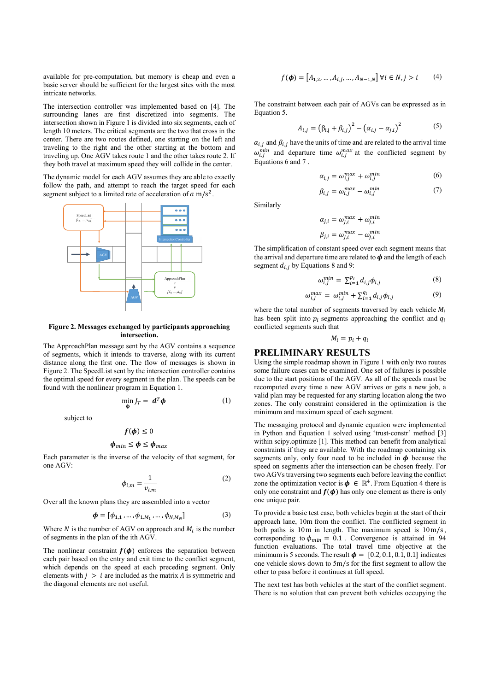available for pre-computation, but memory is cheap and even a basic server should be sufficient for the largest sites with the most intricate networks.

The intersection controller was implemented based on [4]. The surrounding lanes are first discretized into segments. The intersection shown in Figure 1 is divided into six segments, each of length 10 meters. The critical segments are the two that cross in the center. There are two routes defined, one starting on the left and traveling to the right and the other starting at the bottom and traveling up. One AGV takes route 1 and the other takes route 2. If they both travel at maximum speed they will collide in the center.

The dynamic model for each AGV assumes they are able to exactly follow the path, and attempt to reach the target speed for each segment subject to a limited rate of acceleration of  $a$  m/s<sup>2</sup>.



#### Figure 2. Messages exchanged by participants approaching intersection.

The ApproachPlan message sent by the AGV contains a sequence of segments, which it intends to traverse, along with its current distance along the first one. The flow of messages is shown in Figure 2. The SpeedList sent by the intersection controller contains the optimal speed for every segment in the plan. The speeds can be found with the nonlinear program in Equation 1.

$$
\min_{\Phi} J_T = \mathbf{d}^T \mathbf{\phi} \tag{1}
$$

subject to

$$
f(\boldsymbol{\phi}) \le 0
$$
  

$$
\boldsymbol{\phi}_{min} \le \boldsymbol{\phi} \le \boldsymbol{\phi}_{max}
$$

Each parameter is the inverse of the velocity of that segment, for one AGV:

$$
\phi_{i,m} = \frac{1}{v_{i,m}}\tag{2}
$$

Over all the known plans they are assembled into a vector

$$
\boldsymbol{\phi} = [\phi_{1,1}, \dots, \phi_{1,M_1}, \dots, \phi_{N,M_N}] \tag{3}
$$

Where  $N$  is the number of AGV on approach and  $M_i$  is the number of segments in the plan of the ith AGV.

The nonlinear constraint  $f(\phi)$  enforces the separation between each pair based on the entry and exit time to the conflict segment, which depends on the speed at each preceding segment. Only elements with  $j > i$  are included as the matrix A is symmetric and the diagonal elements are not useful.

$$
f(\boldsymbol{\phi}) = [A_{1,2}, \dots, A_{i,j}, \dots, A_{N-1,N}] \,\forall i \in N, j > i \tag{4}
$$

The constraint between each pair of AGVs can be expressed as in Equation 5.

$$
A_{i,j} = (\beta_{i,j} + \beta_{i,j})^2 - (\alpha_{i,j} - \alpha_{j,i})^2
$$
 (5)

 $\alpha_{i,j}$  and  $\beta_{i,j}$  have the units of time and are related to the arrival time  $\omega_{i,j}^{min}$  and departure time  $\omega_{i,j}^{max}$  at the conflicted segment by Equations 6 and 7 .

$$
\alpha_{i,j} = \omega_{i,j}^{max} + \omega_{i,j}^{min} \tag{6}
$$

$$
\beta_{i,j} = \omega_{i,j}^{max} - \omega_{i,j}^{min} \tag{7}
$$

Similarly

$$
\alpha_{j,i} = \omega_{j,i}^{max} + \omega_{j,i}^{min}
$$

$$
\beta_{j,i} = \omega_{j,i}^{max} - \omega_{j,i}^{min}
$$

The simplification of constant speed over each segment means that the arrival and departure time are related to  $\phi$  and the length of each segment  $d_{i,j}$  by Equations 8 and 9:

$$
\omega_{i,j}^{min} = \sum_{i=1}^{p_i} d_{i,j} \phi_{i,j} \tag{8}
$$

$$
\omega_{i,j}^{max} = \omega_{i,j}^{min} + \sum_{i=1}^{q_i} d_{i,j} \phi_{i,j}
$$
(9)

where the total number of segments traversed by each vehicle  $M_i$ has been split into  $p_i$  segments approaching the conflict and  $q_i$ conflicted segments such that

$$
M_i = p_i + q_i
$$

#### PRELIMINARY RESULTS

Using the simple roadmap shown in Figure 1 with only two routes some failure cases can be examined. One set of failures is possible due to the start positions of the AGV. As all of the speeds must be recomputed every time a new AGV arrives or gets a new job, a valid plan may be requested for any starting location along the two zones. The only constraint considered in the optimization is the minimum and maximum speed of each segment.

The messaging protocol and dynamic equation were implemented in Python and Equation 1 solved using 'trust-constr' method [3] within scipy.optimize [1]. This method can benefit from analytical constraints if they are available. With the roadmap containing six segments only, only four need to be included in  $\phi$  because the speed on segments after the intersection can be chosen freely. For two AGVs traversing two segments each before leaving the conflict zone the optimization vector is  $\phi \in \mathbb{R}^4$ . From Equation 4 there is only one constraint and  $f(\phi)$  has only one element as there is only one unique pair.

To provide a basic test case, both vehicles begin at the start of their approach lane, 10m from the conflict. The conflicted segment in both paths is  $10m$  in length. The maximum speed is  $10m/s$ , corresponding to  $\phi_{min} = 0.1$ . Convergence is attained in 94 function evaluations. The total travel time objective at the minimum is 5 seconds. The result  $\phi = [0.2, 0.1, 0.1, 0.1]$  indicates one vehicle slows down to  $5m/s$  for the first segment to allow the other to pass before it continues at full speed.

The next test has both vehicles at the start of the conflict segment. There is no solution that can prevent both vehicles occupying the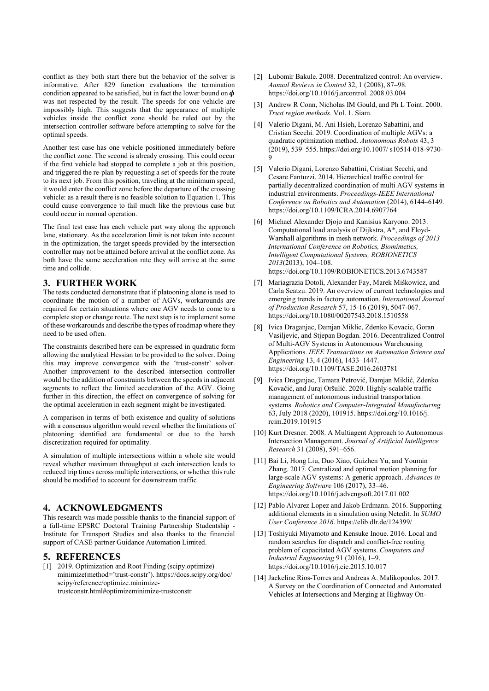conflict as they both start there but the behavior of the solver is informative. After 829 function evaluations the termination condition appeared to be satisfied, but in fact the lower bound on  $\phi$ was not respected by the result. The speeds for one vehicle are impossibly high. This suggests that the appearance of multiple vehicles inside the conflict zone should be ruled out by the intersection controller software before attempting to solve for the optimal speeds.

Another test case has one vehicle positioned immediately before the conflict zone. The second is already crossing. This could occur if the first vehicle had stopped to complete a job at this position, and triggered the re-plan by requesting a set of speeds for the route to its next job. From this position, traveling at the minimum speed, it would enter the conflict zone before the departure of the crossing vehicle: as a result there is no feasible solution to Equation 1. This could cause convergence to fail much like the previous case but could occur in normal operation.

The final test case has each vehicle part way along the approach lane, stationary. As the acceleration limit is not taken into account in the optimization, the target speeds provided by the intersection controller may not be attained before arrival at the conflict zone. As both have the same acceleration rate they will arrive at the same time and collide.

### 3. FURTHER WORK

The tests conducted demonstrate that if platooning alone is used to coordinate the motion of a number of AGVs, workarounds are required for certain situations where one AGV needs to come to a complete stop or change route. The next step is to implement some of these workarounds and describe the types of roadmap where they need to be used often.

The constraints described here can be expressed in quadratic form allowing the analytical Hessian to be provided to the solver. Doing this may improve convergence with the 'trust-constr' solver. Another improvement to the described intersection controller would be the addition of constraints between the speeds in adjacent segments to reflect the limited acceleration of the AGV. Going further in this direction, the effect on convergence of solving for the optimal acceleration in each segment might be investigated.

A comparison in terms of both existence and quality of solutions with a consensus algorithm would reveal whether the limitations of platooning identified are fundamental or due to the harsh discretization required for optimality.

A simulation of multiple intersections within a whole site would reveal whether maximum throughput at each intersection leads to reduced trip times across multiple intersections, or whether this rule should be modified to account for downstream traffic

## 4. ACKNOWLEDGMENTS

This research was made possible thanks to the financial support of a full-time EPSRC Doctoral Training Partnership Studentship - Institute for Transport Studies and also thanks to the financial support of CASE partner Guidance Automation Limited.

#### 5. REFERENCES

[1] 2019. Optimization and Root Finding (scipy.optimize) minimize(method='trust-constr'). https://docs.scipy.org/doc/ scipy/reference/optimize.minimizetrustconstr.html#optimizeminimize-trustconstr

- [2] Lubomír Bakule. 2008. Decentralized control: An overview. Annual Reviews in Control 32, 1 (2008), 87–98. https://doi.org/10.1016/j.arcontrol. 2008.03.004
- [3] Andrew R Conn, Nicholas IM Gould, and Ph L Toint. 2000. Trust region methods. Vol. 1. Siam.
- [4] Valerio Digani, M. Ani Hsieh, Lorenzo Sabattini, and Cristian Secchi. 2019. Coordination of multiple AGVs: a quadratic optimization method. Autonomous Robots 43, 3 (2019), 539–555. https://doi.org/10.1007/ s10514-018-9730- 9
- [5] Valerio Digani, Lorenzo Sabattini, Cristian Secchi, and Cesare Fantuzzi. 2014. Hierarchical traffic control for partially decentralized coordination of multi AGV systems in industrial environments. Proceedings-IEEE International Conference on Robotics and Automation (2014), 6144–6149. https://doi.org/10.1109/ICRA.2014.6907764
- [6] Michael Alexander Djojo and Kanisius Karyono. 2013. Computational load analysis of Dijkstra, A\*, and Floyd-Warshall algorithms in mesh network. Proceedings of 2013 International Conference on Robotics, Biomimetics, Intelligent Computational Systems, ROBIONETICS 2013(2013), 104–108. https://doi.org/10.1109/ROBIONETICS.2013.6743587
- [7] Mariagrazia Dotoli, Alexander Fay, Marek Miśkowicz, and Carla Seatzu. 2019. An overview of current technologies and emerging trends in factory automation. International Journal of Production Research 57, 15-16 (2019), 5047-067. https://doi.org/10.1080/00207543.2018.1510558
- [8] Ivica Draganjac, Damjan Miklic, Zdenko Kovacic, Goran Vasiljevic, and Stjepan Bogdan. 2016. Decentralized Control of Multi-AGV Systems in Autonomous Warehousing Applications. IEEE Transactions on Automation Science and Engineering 13, 4 (2016), 1433–1447. https://doi.org/10.1109/TASE.2016.2603781
- [9] Ivica Draganjac, Tamara Petrović, Damjan Miklić, Zdenko Kovačić, and Juraj Oršulić. 2020. Highly-scalable traffic management of autonomous industrial transportation systems. Robotics and Computer-Integrated Manufacturing 63, July 2018 (2020), 101915. https://doi.org/10.1016/j. rcim.2019.101915
- [10] Kurt Dresner. 2008. A Multiagent Approach to Autonomous Intersection Management. Journal of Artificial Intelligence Research 31 (2008), 591–656.
- [11] Bai Li, Hong Liu, Duo Xiao, Guizhen Yu, and Youmin Zhang. 2017. Centralized and optimal motion planning for large-scale AGV systems: A generic approach. Advances in Engineering Software 106 (2017), 33–46. https://doi.org/10.1016/j.advengsoft.2017.01.002
- [12] Pablo Alvarez Lopez and Jakob Erdmann. 2016. Supporting additional elements in a simulation using Netedit. In SUMO User Conference 2016. https://elib.dlr.de/124399/
- [13] Toshiyuki Miyamoto and Kensuke Inoue. 2016. Local and random searches for dispatch and conflict-free routing problem of capacitated AGV systems. Computers and Industrial Engineering 91 (2016), 1–9. https://doi.org/10.1016/j.cie.2015.10.017
- [14] Jackeline Rios-Torres and Andreas A. Malikopoulos. 2017. A Survey on the Coordination of Connected and Automated Vehicles at Intersections and Merging at Highway On-